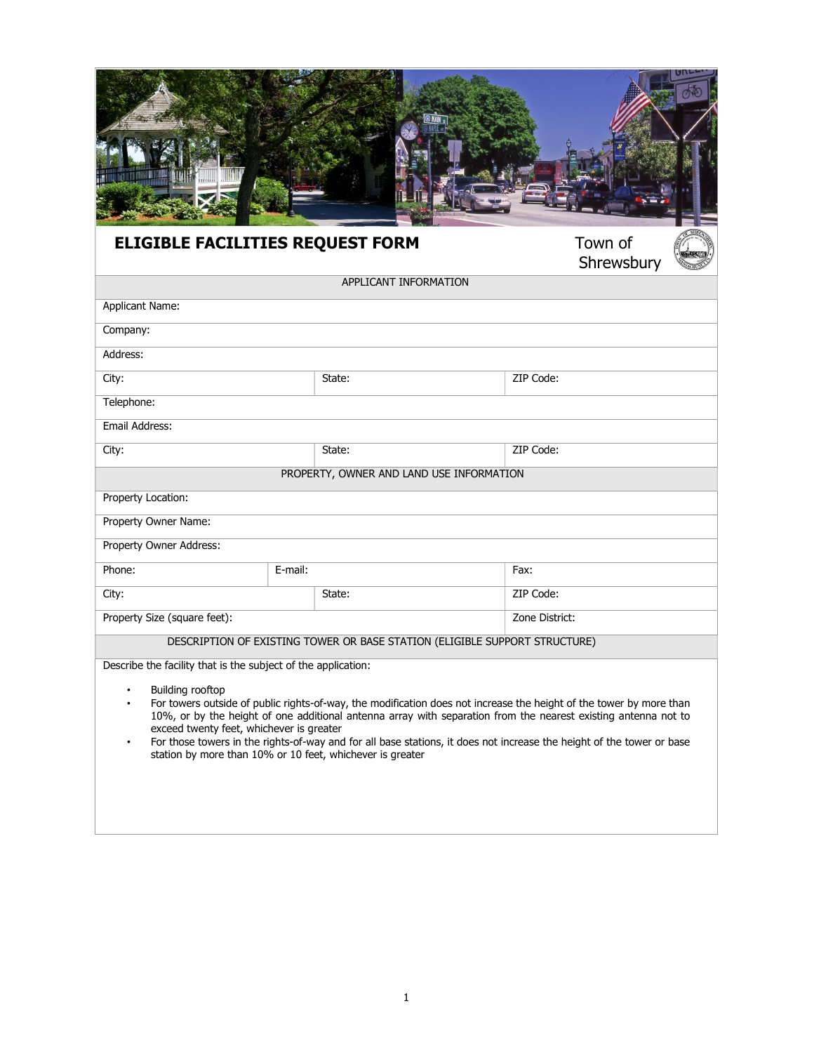# **ELIGIBLE FACILITIES REQUEST FORM**

Town of<br>Shrewsbury

| APPLICANT INFORMATION                                                                  |                                                                                                                                                                                                                                                                                                                                                               |                |
|----------------------------------------------------------------------------------------|---------------------------------------------------------------------------------------------------------------------------------------------------------------------------------------------------------------------------------------------------------------------------------------------------------------------------------------------------------------|----------------|
| <b>Applicant Name:</b>                                                                 |                                                                                                                                                                                                                                                                                                                                                               |                |
| Company:                                                                               |                                                                                                                                                                                                                                                                                                                                                               |                |
| Address:                                                                               |                                                                                                                                                                                                                                                                                                                                                               |                |
| City:                                                                                  | State:                                                                                                                                                                                                                                                                                                                                                        | ZIP Code:      |
| Telephone:                                                                             |                                                                                                                                                                                                                                                                                                                                                               |                |
| Email Address:                                                                         |                                                                                                                                                                                                                                                                                                                                                               |                |
| City:                                                                                  | State:                                                                                                                                                                                                                                                                                                                                                        | ZIP Code:      |
|                                                                                        | PROPERTY, OWNER AND LAND USE INFORMATION                                                                                                                                                                                                                                                                                                                      |                |
| Property Location:                                                                     |                                                                                                                                                                                                                                                                                                                                                               |                |
| Property Owner Name:                                                                   |                                                                                                                                                                                                                                                                                                                                                               |                |
| Property Owner Address:                                                                |                                                                                                                                                                                                                                                                                                                                                               |                |
| Phone:<br>E-mail:                                                                      |                                                                                                                                                                                                                                                                                                                                                               | Fax:           |
| City:                                                                                  | State:                                                                                                                                                                                                                                                                                                                                                        | ZIP Code:      |
| Property Size (square feet):                                                           |                                                                                                                                                                                                                                                                                                                                                               | Zone District: |
|                                                                                        | DESCRIPTION OF EXISTING TOWER OR BASE STATION (ELIGIBLE SUPPORT STRUCTURE)                                                                                                                                                                                                                                                                                    |                |
| Describe the facility that is the subject of the application:                          |                                                                                                                                                                                                                                                                                                                                                               |                |
| Building rooftop<br>$\bullet$<br>$\bullet$<br>exceed twenty feet, whichever is greater | For towers outside of public rights-of-way, the modification does not increase the height of the tower by more than<br>10%, or by the height of one additional antenna array with separation from the nearest existing antenna not to<br>For those towers in the rights-of-way and for all hase stations it does not increase the height of the tower or hase |                |

• For those towers in the rights-of-way and for all base stations, it does not increase the height of the tower or base station by more than 10% or 10 feet, whichever is greater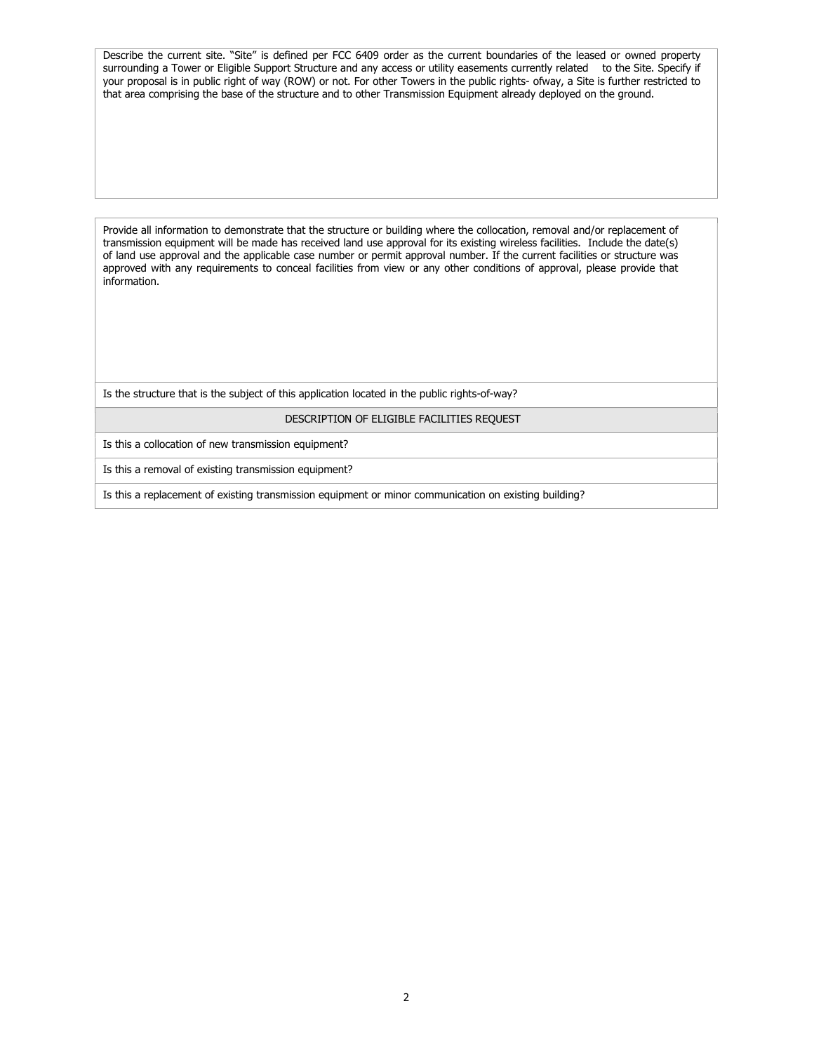Describe the current site. "Site" is defined per FCC 6409 order as the current boundaries of the leased or owned property surrounding a Tower or Eligible Support Structure and any access or utility easements currently related to the Site. Specify if your proposal is in public right of way (ROW) or not. For other Towers in the public rights- ofway, a Site is further restricted to that area comprising the base of the structure and to other Transmission Equipment already deployed on the ground.

Provide all information to demonstrate that the structure or building where the collocation, removal and/or replacement of transmission equipment will be made has received land use approval for its existing wireless facilities. Include the date(s) of land use approval and the applicable case number or permit approval number. If the current facilities or structure was approved with any requirements to conceal facilities from view or any other conditions of approval, please provide that information.

Is the structure that is the subject of this application located in the public rights-of-way?

#### DESCRIPTION OF ELIGIBLE FACILITIES REQUEST

Is this a collocation of new transmission equipment?

Is this a removal of existing transmission equipment?

Is this a replacement of existing transmission equipment or minor communication on existing building?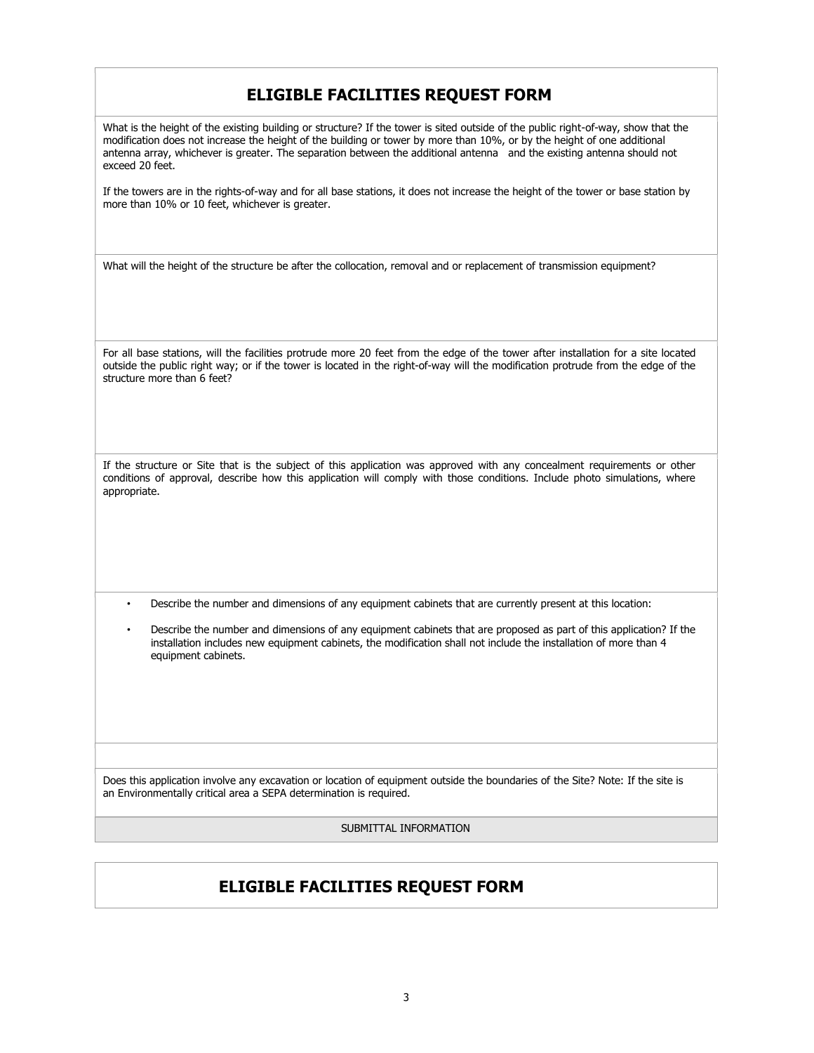## ELIGIBLE FACILITIES REQUEST FORM

What is the height of the existing building or structure? If the tower is sited outside of the public right-of-way, show that the modification does not increase the height of the building or tower by more than 10%, or by the height of one additional antenna array, whichever is greater. The separation between the additional antenna and the existing antenna should not exceed 20 feet.

If the towers are in the rights-of-way and for all base stations, it does not increase the height of the tower or base station by more than 10% or 10 feet, whichever is greater.

What will the height of the structure be after the collocation, removal and or replacement of transmission equipment?

For all base stations, will the facilities protrude more 20 feet from the edge of the tower after installation for a site located outside the public right way; or if the tower is located in the right-of-way will the modification protrude from the edge of the structure more than 6 feet?

If the structure or Site that is the subject of this application was approved with any concealment requirements or other conditions of approval, describe how this application will comply with those conditions. Include photo simulations, where appropriate.

• Describe the number and dimensions of any equipment cabinets that are currently present at this location:

• Describe the number and dimensions of any equipment cabinets that are proposed as part of this application? If the installation includes new equipment cabinets, the modification shall not include the installation of more than 4 equipment cabinets.

Does this application involve any excavation or location of equipment outside the boundaries of the Site? Note: If the site is an Environmentally critical area a SEPA determination is required.

SUBMITTAL INFORMATION

### ELIGIBLE FACILITIES REQUEST FORM